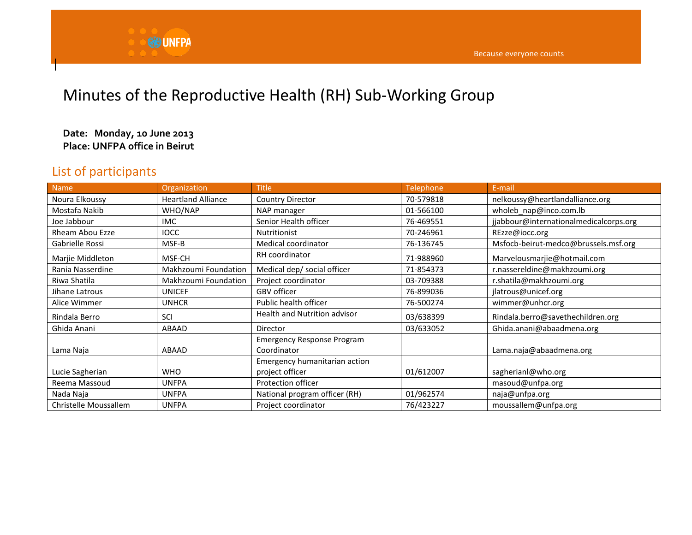

## Minutes of the Reproductive Health (RH) Sub-Working Group

## **Date: Monday, 10 June 2013 Place: UNFPA office in Beirut**

## List of participants

| <b>Name</b>            | Organization              | <b>Title</b>                                     | Telephone | E-mail                                 |
|------------------------|---------------------------|--------------------------------------------------|-----------|----------------------------------------|
| Noura Elkoussy         | <b>Heartland Alliance</b> | <b>Country Director</b>                          | 70-579818 | nelkoussy@heartlandalliance.org        |
| Mostafa Nakib          | WHO/NAP                   | NAP manager                                      | 01-566100 | wholeb nap@inco.com.lb                 |
| Joe Jabbour            | <b>IMC</b>                | Senior Health officer                            | 76-469551 | jjabbour@internationalmedicalcorps.org |
| <b>Rheam Abou Ezze</b> | <b>IOCC</b>               | <b>Nutritionist</b>                              | 70-246961 | REzze@iocc.org                         |
| Gabrielle Rossi        | MSF-B                     | Medical coordinator                              | 76-136745 | Msfocb-beirut-medco@brussels.msf.org   |
| Marjie Middleton       | MSF-CH                    | RH coordinator                                   | 71-988960 | Marvelousmarjie@hotmail.com            |
| Rania Nasserdine       | Makhzoumi Foundation      | Medical dep/ social officer                      | 71-854373 | r.nassereldine@makhzoumi.org           |
| Riwa Shatila           | Makhzoumi Foundation      | Project coordinator                              | 03-709388 | r.shatila@makhzoumi.org                |
| Jihane Latrous         | <b>UNICEF</b>             | GBV officer                                      | 76-899036 | jlatrous@unicef.org                    |
| Alice Wimmer           | <b>UNHCR</b>              | Public health officer                            | 76-500274 | wimmer@unhcr.org                       |
| Rindala Berro          | SCI                       | <b>Health and Nutrition advisor</b>              | 03/638399 | Rindala.berro@savethechildren.org      |
| Ghida Anani            | <b>ABAAD</b>              | Director                                         | 03/633052 | Ghida.anani@abaadmena.org              |
| Lama Naja              | ABAAD                     | <b>Emergency Response Program</b><br>Coordinator |           | Lama.naja@abaadmena.org                |
| Lucie Sagherian        | <b>WHO</b>                | Emergency humanitarian action<br>project officer | 01/612007 | sagherianl@who.org                     |
| Reema Massoud          | <b>UNFPA</b>              | Protection officer                               |           | masoud@unfpa.org                       |
| Nada Naja              | <b>UNFPA</b>              | National program officer (RH)                    | 01/962574 | naja@unfpa.org                         |
| Christelle Moussallem  | <b>UNFPA</b>              | Project coordinator                              | 76/423227 | moussallem@unfpa.org                   |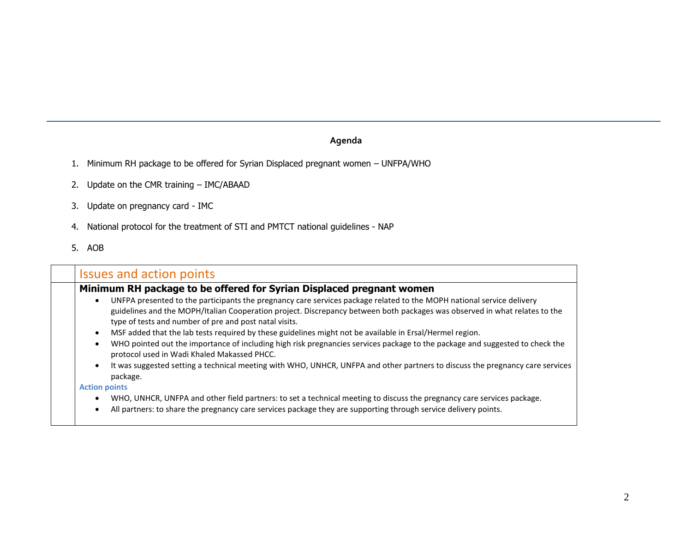## **Agenda**

- 1. Minimum RH package to be offered for Syrian Displaced pregnant women UNFPA/WHO
- 2. Update on the CMR training IMC/ABAAD
- 3. Update on pregnancy card IMC
- 4. National protocol for the treatment of STI and PMTCT national guidelines NAP
- 5. AOB

| <b>Issues and action points</b>                                                                                                                                                                                                                                                                                                                                                                                                                                                                                                                                                                                                                                                                                                                        |
|--------------------------------------------------------------------------------------------------------------------------------------------------------------------------------------------------------------------------------------------------------------------------------------------------------------------------------------------------------------------------------------------------------------------------------------------------------------------------------------------------------------------------------------------------------------------------------------------------------------------------------------------------------------------------------------------------------------------------------------------------------|
| Minimum RH package to be offered for Syrian Displaced pregnant women                                                                                                                                                                                                                                                                                                                                                                                                                                                                                                                                                                                                                                                                                   |
| UNFPA presented to the participants the pregnancy care services package related to the MOPH national service delivery<br>$\bullet$<br>guidelines and the MOPH/Italian Cooperation project. Discrepancy between both packages was observed in what relates to the<br>type of tests and number of pre and post natal visits.<br>MSF added that the lab tests required by these guidelines might not be available in Ersal/Hermel region.<br>WHO pointed out the importance of including high risk pregnancies services package to the package and suggested to check the<br>protocol used in Wadi Khaled Makassed PHCC.<br>It was suggested setting a technical meeting with WHO, UNHCR, UNFPA and other partners to discuss the pregnancy care services |
| package.<br><b>Action points</b><br>WHO, UNHCR, UNFPA and other field partners: to set a technical meeting to discuss the pregnancy care services package.                                                                                                                                                                                                                                                                                                                                                                                                                                                                                                                                                                                             |
| All partners: to share the pregnancy care services package they are supporting through service delivery points.                                                                                                                                                                                                                                                                                                                                                                                                                                                                                                                                                                                                                                        |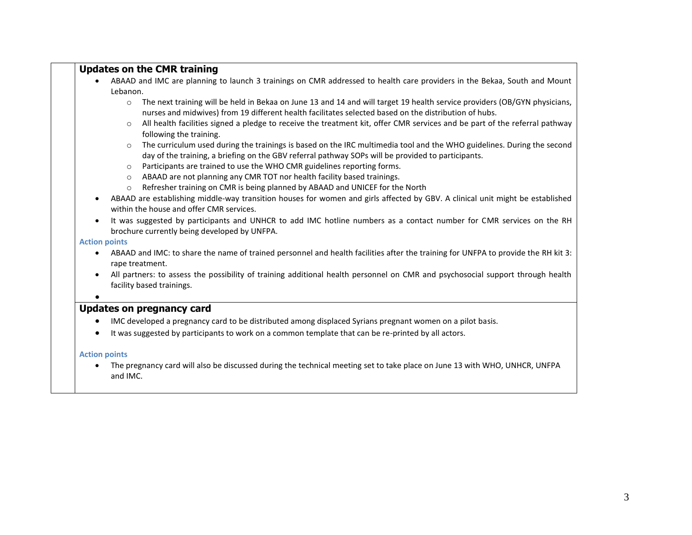|                      | <b>Updates on the CMR training</b>                                                                                                                                                                                                            |
|----------------------|-----------------------------------------------------------------------------------------------------------------------------------------------------------------------------------------------------------------------------------------------|
|                      | ABAAD and IMC are planning to launch 3 trainings on CMR addressed to health care providers in the Bekaa, South and Mount                                                                                                                      |
|                      | Lebanon.                                                                                                                                                                                                                                      |
|                      | The next training will be held in Bekaa on June 13 and 14 and will target 19 health service providers (OB/GYN physicians,<br>$\circ$<br>nurses and midwives) from 19 different health facilitates selected based on the distribution of hubs. |
|                      | All health facilities signed a pledge to receive the treatment kit, offer CMR services and be part of the referral pathway<br>$\circ$<br>following the training.                                                                              |
|                      | The curriculum used during the trainings is based on the IRC multimedia tool and the WHO guidelines. During the second<br>$\circ$<br>day of the training, a briefing on the GBV referral pathway SOPs will be provided to participants.       |
|                      | Participants are trained to use the WHO CMR guidelines reporting forms.<br>$\circ$                                                                                                                                                            |
|                      | ABAAD are not planning any CMR TOT nor health facility based trainings.<br>$\circ$                                                                                                                                                            |
|                      | Refresher training on CMR is being planned by ABAAD and UNICEF for the North<br>$\circ$                                                                                                                                                       |
|                      | ABAAD are establishing middle-way transition houses for women and girls affected by GBV. A clinical unit might be established<br>within the house and offer CMR services.                                                                     |
|                      | It was suggested by participants and UNHCR to add IMC hotline numbers as a contact number for CMR services on the RH<br>brochure currently being developed by UNFPA.                                                                          |
| <b>Action points</b> |                                                                                                                                                                                                                                               |
| ٠                    | ABAAD and IMC: to share the name of trained personnel and health facilities after the training for UNFPA to provide the RH kit 3:<br>rape treatment.                                                                                          |
|                      | All partners: to assess the possibility of training additional health personnel on CMR and psychosocial support through health<br>facility based trainings.                                                                                   |
|                      | <b>Updates on pregnancy card</b>                                                                                                                                                                                                              |
|                      | IMC developed a pregnancy card to be distributed among displaced Syrians pregnant women on a pilot basis.                                                                                                                                     |
|                      |                                                                                                                                                                                                                                               |